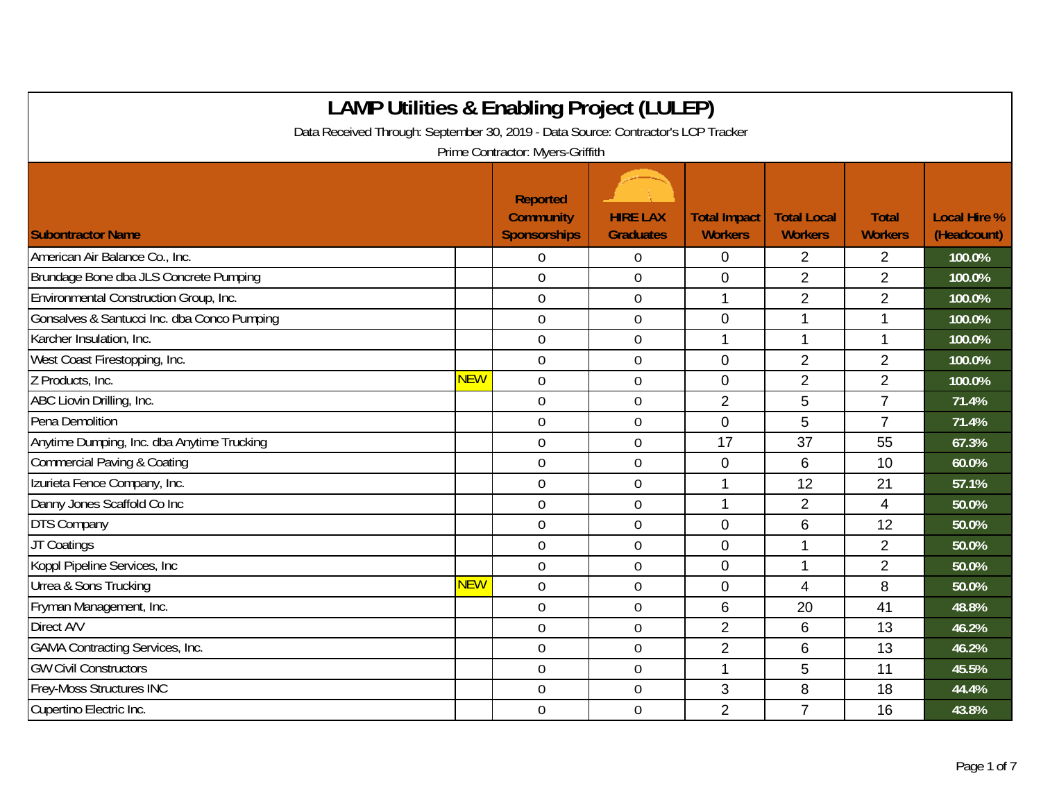| <b>LAMP Utilities &amp; Enabling Project (LULEP)</b>                              |     |                                              |                                     |                                       |                                      |                                |                                    |  |  |
|-----------------------------------------------------------------------------------|-----|----------------------------------------------|-------------------------------------|---------------------------------------|--------------------------------------|--------------------------------|------------------------------------|--|--|
| Data Received Through: September 30, 2019 - Data Source: Contractor's LCP Tracker |     |                                              |                                     |                                       |                                      |                                |                                    |  |  |
| Prime Contractor: Myers-Griffith                                                  |     |                                              |                                     |                                       |                                      |                                |                                    |  |  |
| <b>Subontractor Name</b>                                                          |     | Reported<br><b>Community</b><br>Sponsorships | <b>HIRE LAX</b><br><b>Graduates</b> | <b>Total Impact</b><br><b>Workers</b> | <b>Total Local</b><br><b>Workers</b> | <b>Total</b><br><b>Workers</b> | <b>Local Hire %</b><br>(Headcount) |  |  |
| American Air Balance Co., Inc.                                                    |     | 0                                            | $\boldsymbol{0}$                    | 0                                     | $\overline{2}$                       | $\overline{2}$                 | 100.0%                             |  |  |
| Brundage Bone dba JLS Concrete Pumping                                            |     | $\mathbf 0$                                  | $\boldsymbol{0}$                    | 0                                     | $\overline{2}$                       | $\overline{2}$                 | 100.0%                             |  |  |
| Environmental Construction Group, Inc.                                            |     | $\mathbf 0$                                  | $\boldsymbol{0}$                    | $\mathbf{1}$                          | $\overline{2}$                       | $\overline{2}$                 | 100.0%                             |  |  |
| Gonsalves & Santucci Inc. dba Conco Pumping                                       |     | $\mathbf 0$                                  | $\mathbf 0$                         | 0                                     | 1                                    | 1                              | 100.0%                             |  |  |
| Karcher Insulation, Inc.                                                          |     | $\mathbf 0$                                  | $\mathbf 0$                         | $\mathbf 1$                           | $\mathbf 1$                          | $\mathbf 1$                    | 100.0%                             |  |  |
| West Coast Firestopping, Inc.                                                     |     | $\overline{0}$                               | $\mathbf 0$                         | 0                                     | $\overline{2}$                       | $\overline{2}$                 | 100.0%                             |  |  |
| Z Products, Inc.                                                                  | NEW | $\theta$                                     | $\mathbf 0$                         | 0                                     | 2                                    | $\overline{2}$                 | 100.0%                             |  |  |
| ABC Liovin Drilling, Inc.                                                         |     | $\overline{0}$                               | $\overline{0}$                      | $\overline{2}$                        | 5                                    | $\overline{7}$                 | 71.4%                              |  |  |
| Pena Demolition                                                                   |     | $\mathbf 0$                                  | $\mathbf 0$                         | 0                                     | 5                                    | $\overline{7}$                 | 71.4%                              |  |  |
| Anytime Dumping, Inc. dba Anytime Trucking                                        |     | $\mathbf 0$                                  | $\mathbf 0$                         | 17                                    | 37                                   | 55                             | 67.3%                              |  |  |
| <b>Commercial Paving &amp; Coating</b>                                            |     | $\boldsymbol{0}$                             | $\boldsymbol{0}$                    | 0                                     | 6                                    | 10                             | 60.0%                              |  |  |
| Izurieta Fence Company, Inc.                                                      |     | $\overline{0}$                               | $\mathbf 0$                         | $\mathbf 1$                           | 12                                   | 21                             | 57.1%                              |  |  |
| Danny Jones Scaffold Co Inc                                                       |     | $\overline{0}$                               | $\overline{0}$                      | $\mathbf{1}$                          | $\overline{2}$                       | 4                              | 50.0%                              |  |  |
| <b>DTS Company</b>                                                                |     | $\overline{0}$                               | $\mathbf 0$                         | $\Omega$                              | 6                                    | 12                             | 50.0%                              |  |  |
| JT Coatings                                                                       |     | $\overline{0}$                               | $\mathbf 0$                         | 0                                     | 1                                    | $\overline{2}$                 | 50.0%                              |  |  |
| Koppl Pipeline Services, Inc                                                      |     | $\mathbf 0$                                  | $\boldsymbol{0}$                    | 0                                     | 1                                    | $\overline{2}$                 | 50.0%                              |  |  |
| Urrea & Sons Trucking                                                             | NEW | $\mathbf 0$                                  | $\mathbf 0$                         | $\overline{0}$                        | $\overline{4}$                       | 8                              | 50.0%                              |  |  |
| Fryman Management, Inc.                                                           |     | $\mathbf 0$                                  | $\boldsymbol{0}$                    | 6                                     | 20                                   | 41                             | 48.8%                              |  |  |
| Direct A/V                                                                        |     | $\mathbf 0$                                  | $\mathbf 0$                         | $\overline{2}$                        | 6                                    | 13                             | 46.2%                              |  |  |
| <b>GAMA Contracting Services, Inc.</b>                                            |     | $\overline{0}$                               | $\boldsymbol{0}$                    | $\overline{2}$                        | 6                                    | 13                             | 46.2%                              |  |  |
| <b>GW Civil Constructors</b>                                                      |     | $\overline{0}$                               | $\mathbf 0$                         | $\mathbf 1$                           | 5                                    | 11                             | 45.5%                              |  |  |
| Frey-Moss Structures INC                                                          |     | $\overline{0}$                               | $\mathbf 0$                         | 3                                     | 8                                    | 18                             | 44.4%                              |  |  |
| Cupertino Electric Inc.                                                           |     | $\overline{0}$                               | $\mathbf 0$                         | $\overline{2}$                        | $\overline{7}$                       | 16                             | 43.8%                              |  |  |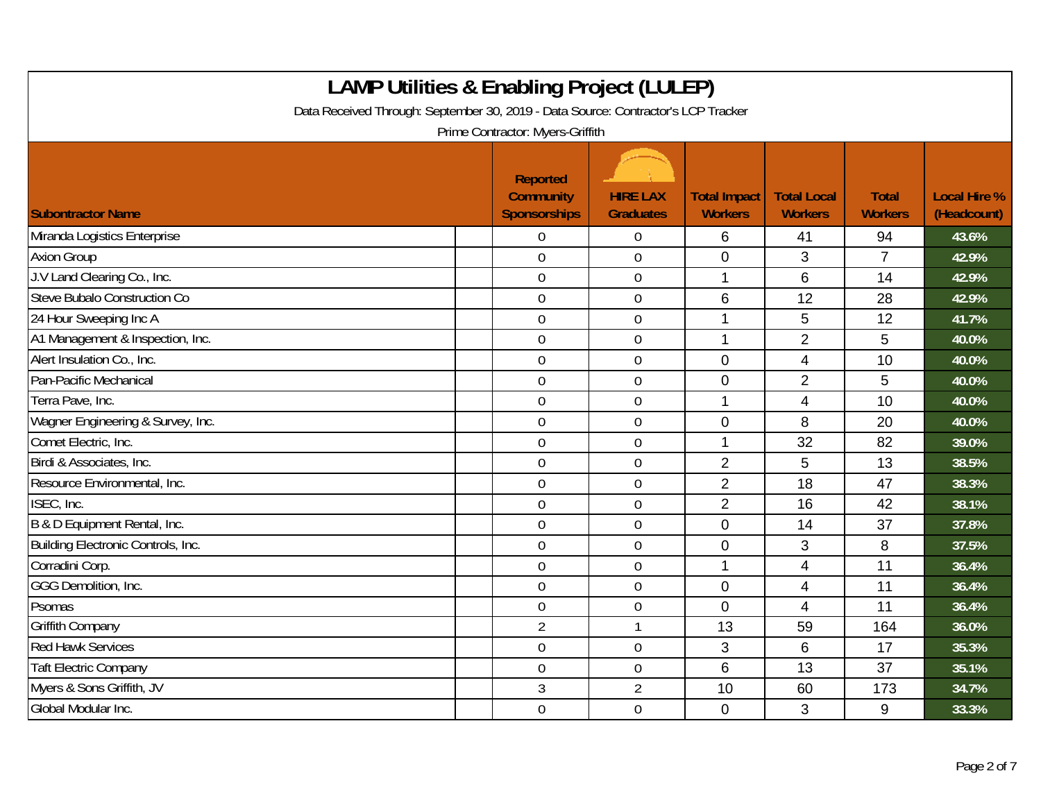| <b>LAMP Utilities &amp; Enabling Project (LULEP)</b><br>Data Received Through: September 30, 2019 - Data Source: Contractor's LCP Tracker<br>Prime Contractor: Myers-Griffith |                                                            |                                     |                                       |                                      |                                |                                    |  |  |  |
|-------------------------------------------------------------------------------------------------------------------------------------------------------------------------------|------------------------------------------------------------|-------------------------------------|---------------------------------------|--------------------------------------|--------------------------------|------------------------------------|--|--|--|
| <b>Subontractor Name</b>                                                                                                                                                      | <b>Reported</b><br><b>Community</b><br><b>Sponsorships</b> | <b>HIRE LAX</b><br><b>Graduates</b> | <b>Total Impact</b><br><b>Workers</b> | <b>Total Local</b><br><b>Workers</b> | <b>Total</b><br><b>Workers</b> | <b>Local Hire %</b><br>(Headcount) |  |  |  |
| Miranda Logistics Enterprise                                                                                                                                                  | $\Omega$                                                   | $\overline{0}$                      | 6                                     | 41                                   | 94                             | 43.6%                              |  |  |  |
| <b>Axion Group</b>                                                                                                                                                            | $\mathbf 0$                                                | $\mathbf 0$                         | $\mathbf 0$                           | 3                                    | $\overline{7}$                 | 42.9%                              |  |  |  |
| J.V Land Clearing Co., Inc.                                                                                                                                                   | $\mathbf 0$                                                | $\boldsymbol{0}$                    | 1                                     | $6\phantom{1}$                       | 14                             | 42.9%                              |  |  |  |
| Steve Bubalo Construction Co                                                                                                                                                  | $\mathbf 0$                                                | $\overline{0}$                      | 6                                     | 12                                   | 28                             | 42.9%                              |  |  |  |
| 24 Hour Sweeping Inc A                                                                                                                                                        | $\overline{0}$                                             | $\overline{0}$                      | 1                                     | 5                                    | 12                             | 41.7%                              |  |  |  |
| A1 Management & Inspection, Inc.                                                                                                                                              | $\overline{0}$                                             | $\mathbf 0$                         | 1                                     | $\overline{2}$                       | 5                              | 40.0%                              |  |  |  |
| Alert Insulation Co., Inc.                                                                                                                                                    | $\mathbf 0$                                                | $\mathbf 0$                         | $\mathbf 0$                           | 4                                    | 10                             | 40.0%                              |  |  |  |
| Pan-Pacific Mechanical                                                                                                                                                        | $\mathbf 0$                                                | $\mathbf 0$                         | $\mathbf 0$                           | $\overline{2}$                       | 5                              | 40.0%                              |  |  |  |
| Terra Pave, Inc.                                                                                                                                                              | $\mathbf 0$                                                | $\pmb{0}$                           | 1                                     | $\overline{4}$                       | 10                             | 40.0%                              |  |  |  |
| Wagner Engineering & Survey, Inc.                                                                                                                                             | $\mathbf 0$                                                | $\mathbf 0$                         | $\mathbf 0$                           | 8                                    | 20                             | 40.0%                              |  |  |  |
| Comet Electric, Inc.                                                                                                                                                          | $\overline{0}$                                             | $\mathbf 0$                         | 1                                     | 32                                   | 82                             | 39.0%                              |  |  |  |
| Birdi & Associates, Inc.                                                                                                                                                      | $\mathbf 0$                                                | $\boldsymbol{0}$                    | $\overline{2}$                        | 5                                    | 13                             | 38.5%                              |  |  |  |
| Resource Environmental, Inc.                                                                                                                                                  | $\mathbf 0$                                                | $\overline{0}$                      | $\overline{2}$                        | 18                                   | 47                             | 38.3%                              |  |  |  |
| ISEC, Inc.                                                                                                                                                                    | $\mathbf 0$                                                | $\boldsymbol{0}$                    | $\overline{2}$                        | 16                                   | 42                             | 38.1%                              |  |  |  |
| B & D Equipment Rental, Inc.                                                                                                                                                  | $\mathbf 0$                                                | $\boldsymbol{0}$                    | $\mathbf 0$                           | 14                                   | 37                             | 37.8%                              |  |  |  |
| Building Electronic Controls, Inc.                                                                                                                                            | $\overline{0}$                                             | $\overline{0}$                      | $\overline{0}$                        | 3                                    | 8                              | 37.5%                              |  |  |  |
| Corradini Corp.                                                                                                                                                               | $\overline{0}$                                             | $0\,$                               | 1                                     | 4                                    | 11                             | 36.4%                              |  |  |  |
| GGG Demolition, Inc.                                                                                                                                                          | $\mathbf 0$                                                | $\boldsymbol{0}$                    | $\mathbf 0$                           | 4                                    | 11                             | 36.4%                              |  |  |  |
| Psomas                                                                                                                                                                        | $\mathbf 0$                                                | $\mathbf 0$                         | $\overline{0}$                        | $\overline{4}$                       | 11                             | 36.4%                              |  |  |  |
| <b>Griffith Company</b>                                                                                                                                                       | $\overline{2}$                                             | $\mathbf{1}$                        | 13                                    | 59                                   | 164                            | 36.0%                              |  |  |  |
| <b>Red Hawk Services</b>                                                                                                                                                      | $\mathbf 0$                                                | $\boldsymbol{0}$                    | 3                                     | $6\phantom{1}6$                      | 17                             | 35.3%                              |  |  |  |
| <b>Taft Electric Company</b>                                                                                                                                                  | $\overline{0}$                                             | $\mathbf 0$                         | 6                                     | 13                                   | 37                             | 35.1%                              |  |  |  |
| Myers & Sons Griffith, JV                                                                                                                                                     | 3                                                          | $\overline{2}$                      | 10                                    | 60                                   | 173                            | 34.7%                              |  |  |  |
| Global Modular Inc.                                                                                                                                                           | $\mathbf 0$                                                | $\boldsymbol{0}$                    | $\mathbf 0$                           | 3                                    | 9                              | 33.3%                              |  |  |  |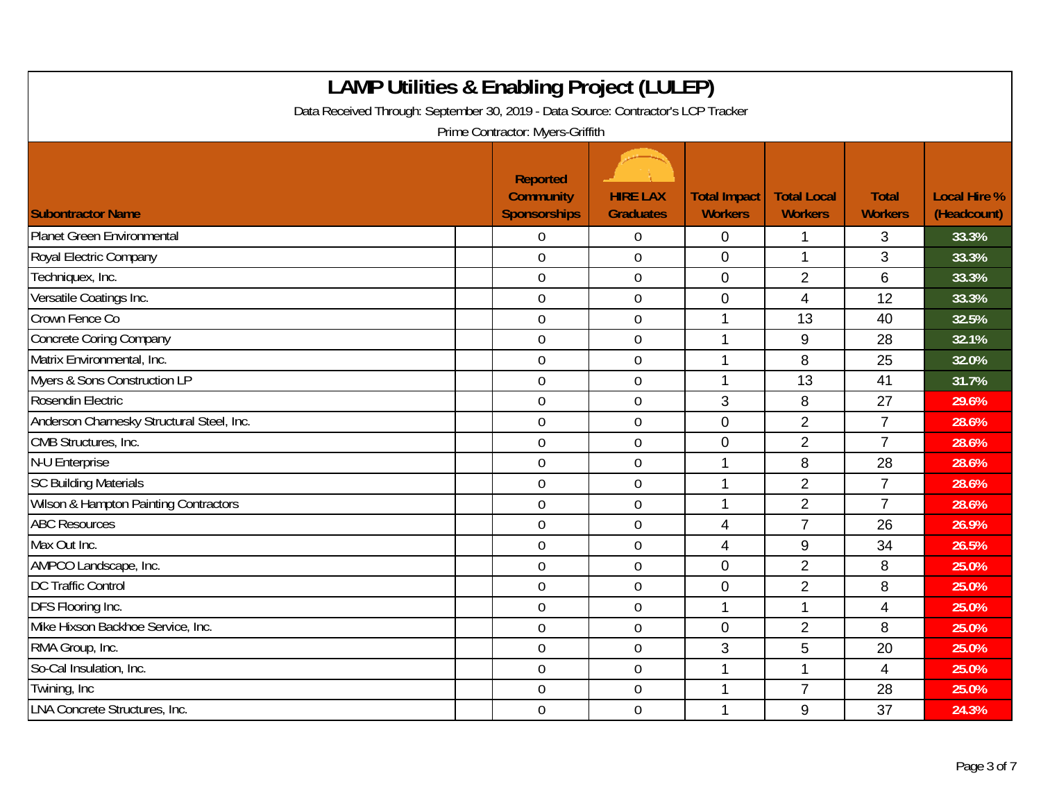| <b>LAMP Utilities &amp; Enabling Project (LULEP)</b><br>Data Received Through: September 30, 2019 - Data Source: Contractor's LCP Tracker<br>Prime Contractor: Myers-Griffith |                                                            |                                     |                                       |                                      |                                |                                    |  |  |  |
|-------------------------------------------------------------------------------------------------------------------------------------------------------------------------------|------------------------------------------------------------|-------------------------------------|---------------------------------------|--------------------------------------|--------------------------------|------------------------------------|--|--|--|
| <b>Subontractor Name</b>                                                                                                                                                      | <b>Reported</b><br><b>Community</b><br><b>Sponsorships</b> | <b>HIRE LAX</b><br><b>Graduates</b> | <b>Total Impact</b><br><b>Workers</b> | <b>Total Local</b><br><b>Workers</b> | <b>Total</b><br><b>Workers</b> | <b>Local Hire %</b><br>(Headcount) |  |  |  |
| <b>Planet Green Environmental</b>                                                                                                                                             | $\Omega$                                                   | $\boldsymbol{0}$                    | 0                                     | 1                                    | 3                              | 33.3%                              |  |  |  |
| Royal Electric Company                                                                                                                                                        | $\overline{0}$                                             | $\mathbf 0$                         | $\overline{0}$                        | 1                                    | 3                              | 33.3%                              |  |  |  |
| Techniquex, Inc.                                                                                                                                                              | $\mathbf 0$                                                | $\boldsymbol{0}$                    | $\overline{0}$                        | $\overline{2}$                       | 6                              | 33.3%                              |  |  |  |
| Versatile Coatings Inc.                                                                                                                                                       | $\mathbf 0$                                                | $\boldsymbol{0}$                    | $\mathbf 0$                           | $\overline{4}$                       | 12                             | 33.3%                              |  |  |  |
| Crown Fence Co                                                                                                                                                                | $\mathbf 0$                                                | $\mathbf 0$                         | 1                                     | 13                                   | 40                             | 32.5%                              |  |  |  |
| <b>Concrete Coring Company</b>                                                                                                                                                | $\mathbf 0$                                                | $\mathbf 0$                         | 1                                     | 9                                    | 28                             | 32.1%                              |  |  |  |
| Matrix Environmental, Inc.                                                                                                                                                    | $\overline{0}$                                             | $\mathbf 0$                         | 1                                     | 8                                    | 25                             | 32.0%                              |  |  |  |
| Myers & Sons Construction LP                                                                                                                                                  | $\mathbf 0$                                                | $\boldsymbol{0}$                    | 1                                     | 13                                   | 41                             | 31.7%                              |  |  |  |
| Rosendin Electric                                                                                                                                                             | $\overline{0}$                                             | $\boldsymbol{0}$                    | 3                                     | 8                                    | 27                             | 29.6%                              |  |  |  |
| Anderson Charnesky Structural Steel, Inc.                                                                                                                                     | $\mathbf 0$                                                | $\mathbf 0$                         | $\mathbf 0$                           | $\overline{2}$                       | $\overline{7}$                 | 28.6%                              |  |  |  |
| CMB Structures, Inc.                                                                                                                                                          | $\overline{0}$                                             | $\overline{0}$                      | $\overline{0}$                        | $\overline{2}$                       | $\overline{7}$                 | 28.6%                              |  |  |  |
| N-U Enterprise                                                                                                                                                                | $\mathbf 0$                                                | $\boldsymbol{0}$                    |                                       | 8                                    | 28                             | 28.6%                              |  |  |  |
| <b>SC Building Materials</b>                                                                                                                                                  | $\mathbf 0$                                                | $\mathbf 0$                         | 1                                     | $\overline{2}$                       | $\overline{7}$                 | 28.6%                              |  |  |  |
| <b>Wilson &amp; Hampton Painting Contractors</b>                                                                                                                              | $\overline{0}$                                             | $\mathbf 0$                         | 1                                     | $\overline{2}$                       | $\overline{7}$                 | 28.6%                              |  |  |  |
| <b>ABC Resources</b>                                                                                                                                                          | $\mathbf 0$                                                | $\mathbf 0$                         | $\overline{4}$                        | $\overline{7}$                       | 26                             | 26.9%                              |  |  |  |
| Max Out Inc.                                                                                                                                                                  | $\mathbf 0$                                                | $\boldsymbol{0}$                    | $\overline{4}$                        | 9                                    | 34                             | 26.5%                              |  |  |  |
| AMPCO Landscape, Inc.                                                                                                                                                         | $\overline{0}$                                             | $\mathbf 0$                         | $\overline{0}$                        | $\overline{2}$                       | 8                              | 25.0%                              |  |  |  |
| <b>DC Traffic Control</b>                                                                                                                                                     | $\mathbf 0$                                                | $\mathbf 0$                         | $\mathbf 0$                           | $\overline{2}$                       | 8                              | 25.0%                              |  |  |  |
| DFS Flooring Inc.                                                                                                                                                             | $\overline{0}$                                             | $\mathbf 0$                         | $\mathbf{1}$                          | 1                                    | 4                              | 25.0%                              |  |  |  |
| Mike Hixson Backhoe Service, Inc.                                                                                                                                             | $\mathbf 0$                                                | $\boldsymbol{0}$                    | $\mathbf 0$                           | $\overline{2}$                       | 8                              | 25.0%                              |  |  |  |
| RMA Group, Inc.                                                                                                                                                               | $\mathbf 0$                                                | $\boldsymbol{0}$                    | 3                                     | 5                                    | 20                             | 25.0%                              |  |  |  |
| So-Cal Insulation, Inc.                                                                                                                                                       | $\mathbf 0$                                                | $\mathbf 0$                         | $\mathbf{1}$                          | $\mathbf{1}$                         | 4                              | 25.0%                              |  |  |  |
| Twining, Inc                                                                                                                                                                  | $\overline{0}$                                             | $\mathbf 0$                         | 1                                     | $\overline{7}$                       | 28                             | 25.0%                              |  |  |  |
| <b>LNA Concrete Structures, Inc.</b>                                                                                                                                          | $\mathbf 0$                                                | $\boldsymbol{0}$                    | 1                                     | 9                                    | 37                             | 24.3%                              |  |  |  |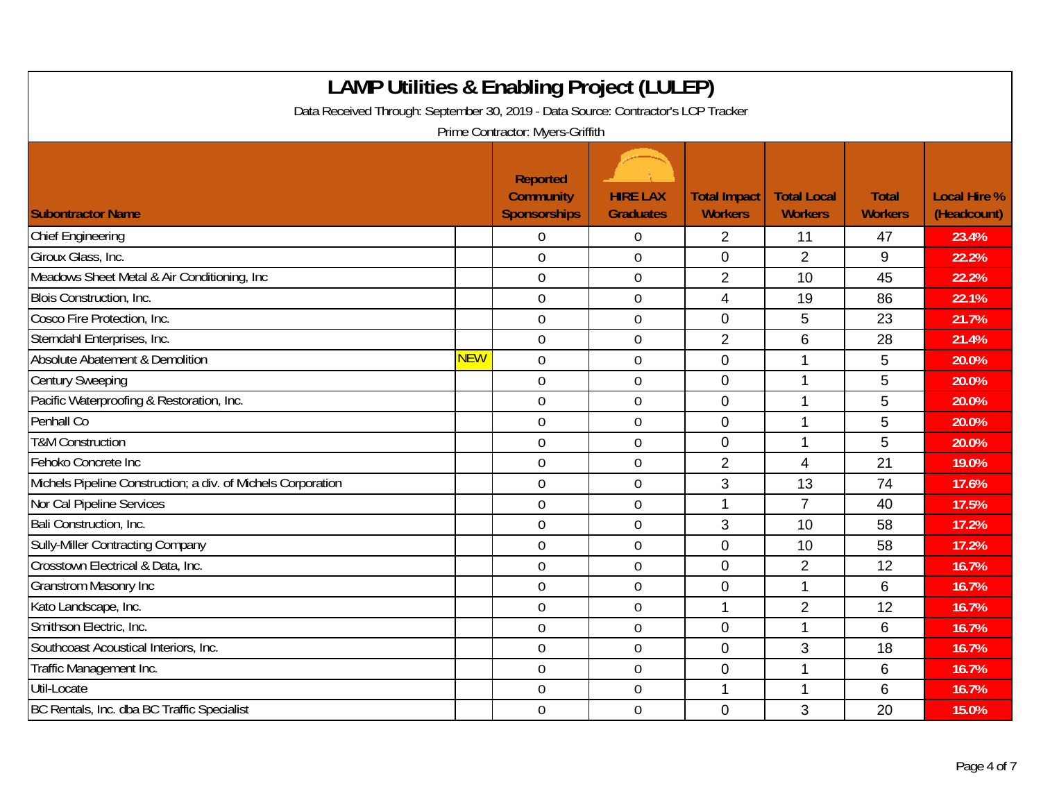| <b>LAMP Utilities &amp; Enabling Project (LULEP)</b><br>Data Received Through: September 30, 2019 - Data Source: Contractor's LCP Tracker<br>Prime Contractor: Myers-Griffith |            |                                                            |                                     |                                       |                                      |                                |                                    |  |  |
|-------------------------------------------------------------------------------------------------------------------------------------------------------------------------------|------------|------------------------------------------------------------|-------------------------------------|---------------------------------------|--------------------------------------|--------------------------------|------------------------------------|--|--|
| <b>Subontractor Name</b>                                                                                                                                                      |            | <b>Reported</b><br><b>Community</b><br><b>Sponsorships</b> | <b>HIRE LAX</b><br><b>Graduates</b> | <b>Total Impact</b><br><b>Workers</b> | <b>Total Local</b><br><b>Workers</b> | <b>Total</b><br><b>Workers</b> | <b>Local Hire %</b><br>(Headcount) |  |  |
| <b>Chief Engineering</b>                                                                                                                                                      |            | $\Omega$                                                   | $\mathbf 0$                         | $\overline{2}$                        | 11                                   | 47                             | 23.4%                              |  |  |
| Giroux Glass, Inc.                                                                                                                                                            |            | $\overline{0}$                                             | $\mathbf 0$                         | $\mathbf{0}$                          | $\overline{2}$                       | 9                              | 22.2%                              |  |  |
| Meadows Sheet Metal & Air Conditioning, Inc                                                                                                                                   |            | $\overline{0}$                                             | $\boldsymbol{0}$                    | $\overline{2}$                        | 10                                   | 45                             | 22.2%                              |  |  |
| Blois Construction, Inc.                                                                                                                                                      |            | $\mathbf 0$                                                | $\boldsymbol{0}$                    | $\overline{4}$                        | 19                                   | 86                             | 22.1%                              |  |  |
| Cosco Fire Protection, Inc.                                                                                                                                                   |            | $\overline{0}$                                             | $\mathbf 0$                         | $\mathbf{0}$                          | 5                                    | 23                             | 21.7%                              |  |  |
| Sterndahl Enterprises, Inc.                                                                                                                                                   |            | $\overline{0}$                                             | $\mathbf 0$                         | $\overline{2}$                        | 6                                    | 28                             | 21.4%                              |  |  |
| Absolute Abatement & Demolition                                                                                                                                               | <b>NEW</b> | $\mathbf 0$                                                | $\mathbf 0$                         | $\overline{0}$                        | 1                                    | 5                              | 20.0%                              |  |  |
| <b>Century Sweeping</b>                                                                                                                                                       |            | $\overline{0}$                                             | $\mathbf 0$                         | $\overline{0}$                        | 1                                    | 5                              | 20.0%                              |  |  |
| Pacific Waterproofing & Restoration, Inc.                                                                                                                                     |            | $\mathbf 0$                                                | $\boldsymbol{0}$                    | $\mathbf 0$                           | 1                                    | 5                              | 20.0%                              |  |  |
| Penhall Co                                                                                                                                                                    |            | $\mathbf 0$                                                | $\boldsymbol{0}$                    | $\mathbf 0$                           | $\mathbf{1}$                         | 5                              | 20.0%                              |  |  |
| <b>T&amp;M Construction</b>                                                                                                                                                   |            | $\overline{0}$                                             | $\mathbf 0$                         | $\overline{0}$                        | 1                                    | 5                              | 20.0%                              |  |  |
| Fehoko Concrete Inc                                                                                                                                                           |            | $\mathbf 0$                                                | $\mathbf 0$                         | $\overline{2}$                        | 4                                    | 21                             | 19.0%                              |  |  |
| Michels Pipeline Construction; a div. of Michels Corporation                                                                                                                  |            | $\mathbf 0$                                                | $\boldsymbol{0}$                    | 3                                     | 13                                   | 74                             | 17.6%                              |  |  |
| Nor Cal Pipeline Services                                                                                                                                                     |            | $\overline{0}$                                             | $\mathbf 0$                         | 1                                     | $\overline{7}$                       | 40                             | 17.5%                              |  |  |
| Bali Construction, Inc.                                                                                                                                                       |            | $\mathbf 0$                                                | $\mathbf 0$                         | 3                                     | 10                                   | 58                             | 17.2%                              |  |  |
| <b>Sully-Miller Contracting Company</b>                                                                                                                                       |            | $\mathbf 0$                                                | $\mathbf 0$                         | $\mathbf 0$                           | 10                                   | 58                             | 17.2%                              |  |  |
| Crosstown Electrical & Data, Inc.                                                                                                                                             |            | $\overline{0}$                                             | $\mathbf 0$                         | $\overline{0}$                        | $\overline{2}$                       | 12                             | 16.7%                              |  |  |
| <b>Granstrom Masonry Inc</b>                                                                                                                                                  |            | $\mathbf 0$                                                | $\mathbf 0$                         | $\overline{0}$                        | $\mathbf 1$                          | 6                              | 16.7%                              |  |  |
| Kato Landscape, Inc.                                                                                                                                                          |            | $\mathbf 0$                                                | $\mathbf 0$                         | 1                                     | $\overline{2}$                       | 12                             | 16.7%                              |  |  |
| Smithson Electric, Inc.                                                                                                                                                       |            | $\mathbf 0$                                                | $\mathbf 0$                         | $\mathbf 0$                           | 1                                    | 6                              | 16.7%                              |  |  |
| Southcoast Acoustical Interiors, Inc.                                                                                                                                         |            | $\mathbf 0$                                                | $\mathbf 0$                         | $\overline{0}$                        | 3                                    | 18                             | 16.7%                              |  |  |
| Traffic Management Inc.                                                                                                                                                       |            | $\mathbf 0$                                                | $\mathbf 0$                         | $\mathbf 0$                           | 1                                    | 6                              | 16.7%                              |  |  |
| Util-Locate                                                                                                                                                                   |            | $\mathbf 0$                                                | $\mathbf 0$                         | 1                                     | 1                                    | 6                              | 16.7%                              |  |  |
| BC Rentals, Inc. dba BC Traffic Specialist                                                                                                                                    |            | $\overline{0}$                                             | $\mathbf 0$                         | $\overline{0}$                        | 3                                    | 20                             | 15.0%                              |  |  |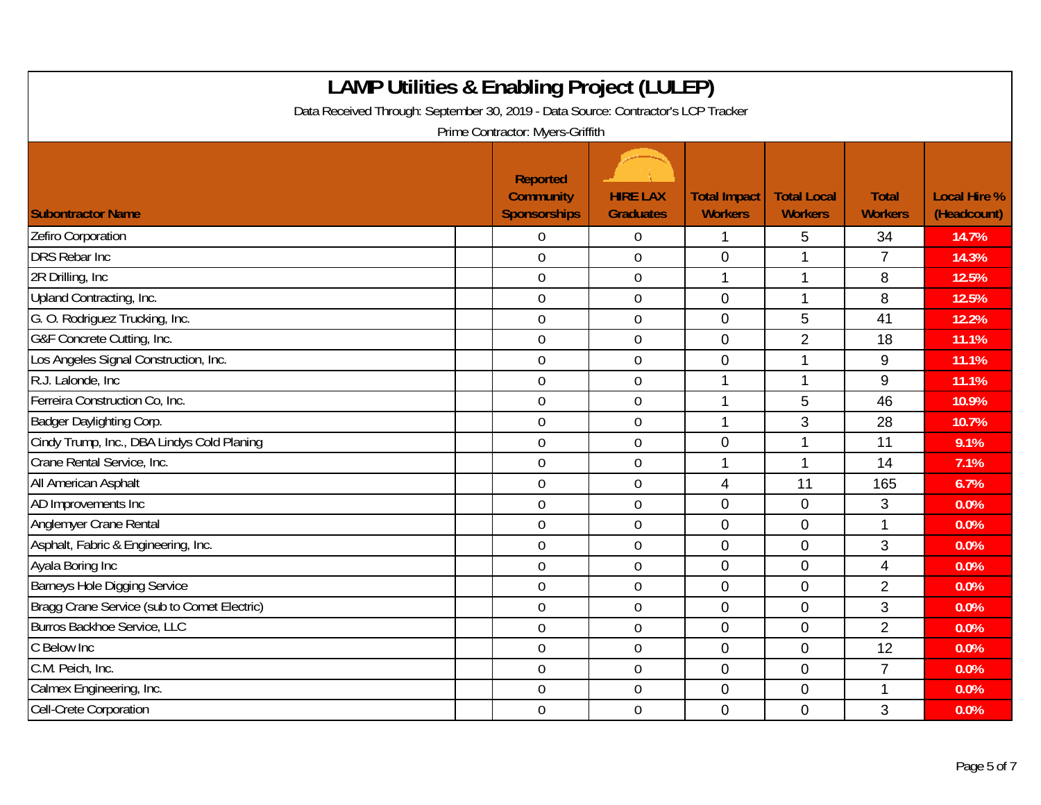| <b>LAMP Utilities &amp; Enabling Project (LULEP)</b><br>Data Received Through: September 30, 2019 - Data Source: Contractor's LCP Tracker<br>Prime Contractor: Myers-Griffith |                                                            |                                     |                                       |                                      |                                |                                    |  |  |  |
|-------------------------------------------------------------------------------------------------------------------------------------------------------------------------------|------------------------------------------------------------|-------------------------------------|---------------------------------------|--------------------------------------|--------------------------------|------------------------------------|--|--|--|
| <b>Subontractor Name</b>                                                                                                                                                      | <b>Reported</b><br><b>Community</b><br><b>Sponsorships</b> | <b>HIRE LAX</b><br><b>Graduates</b> | <b>Total Impact</b><br><b>Workers</b> | <b>Total Local</b><br><b>Workers</b> | <b>Total</b><br><b>Workers</b> | <b>Local Hire %</b><br>(Headcount) |  |  |  |
| Zefiro Corporation                                                                                                                                                            | $\Omega$                                                   | $\boldsymbol{0}$                    | 1                                     | 5                                    | 34                             | 14.7%                              |  |  |  |
| <b>DRS Rebar Inc</b>                                                                                                                                                          | $\overline{0}$                                             | $\mathbf 0$                         | $\overline{0}$                        | 1                                    | $\overline{7}$                 | 14.3%                              |  |  |  |
| 2R Drilling, Inc.                                                                                                                                                             | $\mathbf 0$                                                | $\boldsymbol{0}$                    | 1                                     | 1                                    | 8                              | 12.5%                              |  |  |  |
| Upland Contracting, Inc.                                                                                                                                                      | $\mathbf 0$                                                | $\boldsymbol{0}$                    | $\mathbf 0$                           | 1                                    | 8                              | 12.5%                              |  |  |  |
| G. O. Rodriguez Trucking, Inc.                                                                                                                                                | $\mathbf 0$                                                | $\mathbf 0$                         | $\overline{0}$                        | 5                                    | 41                             | 12.2%                              |  |  |  |
| G&F Concrete Cutting, Inc.                                                                                                                                                    | $\mathbf 0$                                                | $\mathbf 0$                         | $\overline{0}$                        | $\overline{2}$                       | 18                             | 11.1%                              |  |  |  |
| Los Angeles Signal Construction, Inc.                                                                                                                                         | $\overline{0}$                                             | $\mathbf 0$                         | $\overline{0}$                        | 1                                    | 9                              | 11.1%                              |  |  |  |
| R.J. Lalonde, Inc.                                                                                                                                                            | $\mathbf 0$                                                | $\boldsymbol{0}$                    | 1                                     | 1                                    | 9                              | 11.1%                              |  |  |  |
| Ferreira Construction Co, Inc.                                                                                                                                                | $\boldsymbol{0}$                                           | $\boldsymbol{0}$                    | 1                                     | 5                                    | 46                             | 10.9%                              |  |  |  |
| Badger Daylighting Corp.                                                                                                                                                      | $\mathbf 0$                                                | $\mathbf 0$                         | 1                                     | 3                                    | 28                             | 10.7%                              |  |  |  |
| Cindy Trump, Inc., DBA Lindys Cold Planing                                                                                                                                    | $\overline{0}$                                             | $\overline{0}$                      | $\overline{0}$                        | 1                                    | 11                             | 9.1%                               |  |  |  |
| Crane Rental Service, Inc.                                                                                                                                                    | $\mathbf 0$                                                | $\boldsymbol{0}$                    |                                       | 1                                    | 14                             | 7.1%                               |  |  |  |
| All American Asphalt                                                                                                                                                          | $\mathbf 0$                                                | $\mathbf 0$                         | $\overline{4}$                        | 11                                   | 165                            | 6.7%                               |  |  |  |
| AD Improvements Inc                                                                                                                                                           | $\mathbf 0$                                                | $\mathbf 0$                         | $\overline{0}$                        | $\mathbf 0$                          | 3                              | 0.0%                               |  |  |  |
| Anglemyer Crane Rental                                                                                                                                                        | $\mathbf 0$                                                | $\mathbf 0$                         | $\overline{0}$                        | $\overline{0}$                       | 1                              | 0.0%                               |  |  |  |
| Asphalt, Fabric & Engineering, Inc.                                                                                                                                           | $\boldsymbol{0}$                                           | $\boldsymbol{0}$                    | $\mathbf 0$                           | $\overline{0}$                       | 3                              | 0.0%                               |  |  |  |
| Ayala Boring Inc                                                                                                                                                              | $\overline{0}$                                             | $\mathbf 0$                         | $\overline{0}$                        | $\overline{0}$                       | 4                              | 0.0%                               |  |  |  |
| <b>Barneys Hole Digging Service</b>                                                                                                                                           | $\mathbf 0$                                                | $\mathbf 0$                         | $\overline{0}$                        | $\mathbf{0}$                         | $\overline{2}$                 | 0.0%                               |  |  |  |
| Bragg Crane Service (sub to Comet Electric)                                                                                                                                   | $\overline{0}$                                             | $\mathbf 0$                         | $\overline{0}$                        | $\overline{0}$                       | 3                              | 0.0%                               |  |  |  |
| Burros Backhoe Service, LLC                                                                                                                                                   | $\mathbf 0$                                                | $\boldsymbol{0}$                    | $\mathbf 0$                           | $\mathbf 0$                          | $\overline{2}$                 | 0.0%                               |  |  |  |
| C Below Inc                                                                                                                                                                   | $\mathbf 0$                                                | $\boldsymbol{0}$                    | $\mathbf 0$                           | $\mathbf 0$                          | 12                             | 0.0%                               |  |  |  |
| C.M. Peich, Inc.                                                                                                                                                              | $\mathbf 0$                                                | $\mathbf 0$                         | $\mathbf 0$                           | $\overline{0}$                       | $\overline{7}$                 | 0.0%                               |  |  |  |
| Calmex Engineering, Inc.                                                                                                                                                      | $\overline{0}$                                             | $\mathbf 0$                         | $\overline{0}$                        | $\overline{0}$                       | 1                              | 0.0%                               |  |  |  |
| Cell-Crete Corporation                                                                                                                                                        | $\mathbf 0$                                                | $\boldsymbol{0}$                    | $\mathbf 0$                           | $\mathbf 0$                          | 3                              | 0.0%                               |  |  |  |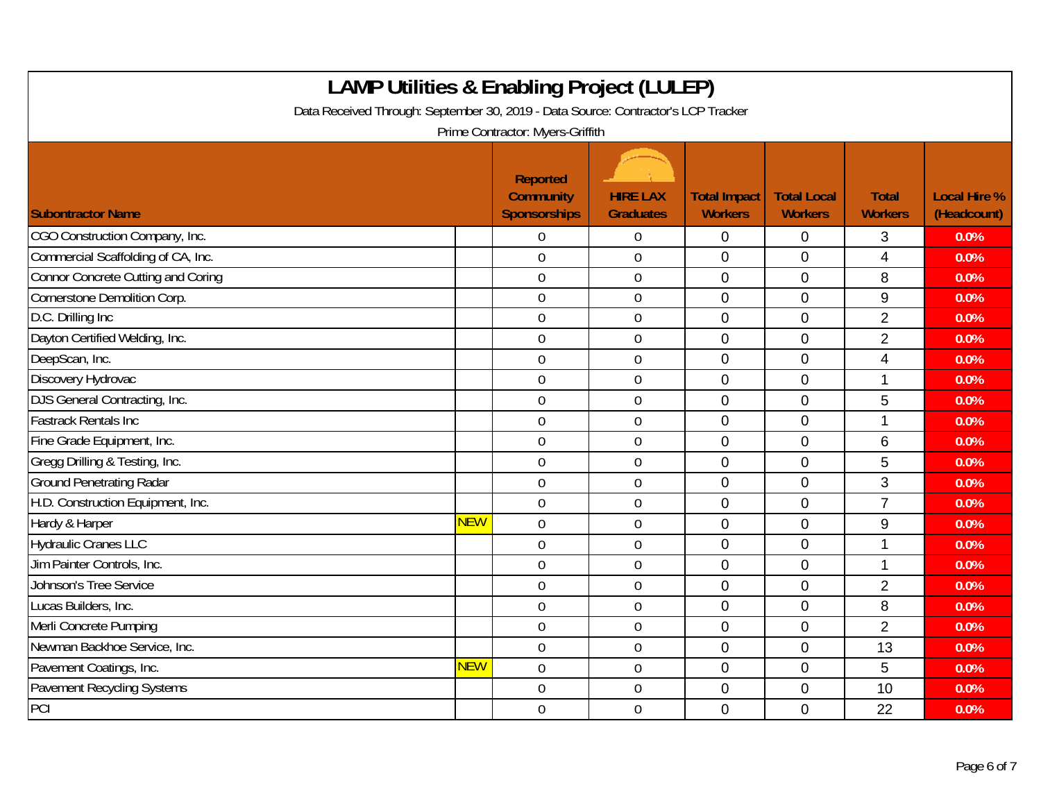| <b>LAMP Utilities &amp; Enabling Project (LULEP)</b><br>Data Received Through: September 30, 2019 - Data Source: Contractor's LCP Tracker<br>Prime Contractor: Myers-Griffith |            |                                                            |                                     |                                       |                                      |                                |                                    |  |  |
|-------------------------------------------------------------------------------------------------------------------------------------------------------------------------------|------------|------------------------------------------------------------|-------------------------------------|---------------------------------------|--------------------------------------|--------------------------------|------------------------------------|--|--|
| <b>Subontractor Name</b>                                                                                                                                                      |            | <b>Reported</b><br><b>Community</b><br><b>Sponsorships</b> | <b>HIRE LAX</b><br><b>Graduates</b> | <b>Total Impact</b><br><b>Workers</b> | <b>Total Local</b><br><b>Workers</b> | <b>Total</b><br><b>Workers</b> | <b>Local Hire %</b><br>(Headcount) |  |  |
| CGO Construction Company, Inc.                                                                                                                                                |            | $\Omega$                                                   | $\overline{0}$                      | $\mathbf 0$                           | $\mathbf 0$                          | 3                              | 0.0%                               |  |  |
| Commercial Scaffolding of CA, Inc.                                                                                                                                            |            | $\overline{0}$                                             | $\overline{0}$                      | $\overline{0}$                        | $\overline{0}$                       | 4                              | 0.0%                               |  |  |
| <b>Connor Concrete Cutting and Coring</b>                                                                                                                                     |            | $\mathbf 0$                                                | $\boldsymbol{0}$                    | $\mathbf 0$                           | $\mathbf 0$                          | 8                              | 0.0%                               |  |  |
| Cornerstone Demolition Corp.                                                                                                                                                  |            | $\mathbf 0$                                                | $\pmb{0}$                           | $\mathbf 0$                           | $\mathbf{0}$                         | 9                              | 0.0%                               |  |  |
| D.C. Drilling Inc                                                                                                                                                             |            | $\overline{0}$                                             | $\mathbf 0$                         | $\overline{0}$                        | $\overline{0}$                       | $\overline{2}$                 | 0.0%                               |  |  |
| Dayton Certified Welding, Inc.                                                                                                                                                |            | $\theta$                                                   | $\overline{0}$                      | $\overline{0}$                        | $\overline{0}$                       | $\overline{2}$                 | 0.0%                               |  |  |
| DeepScan, Inc.                                                                                                                                                                |            | $\overline{0}$                                             | $\mathbf 0$                         | $\overline{0}$                        | $\mathbf 0$                          | 4                              | 0.0%                               |  |  |
| Discovery Hydrovac                                                                                                                                                            |            | $\overline{0}$                                             | $\overline{0}$                      | $\Omega$                              | $\Omega$                             | 1                              | 0.0%                               |  |  |
| DJS General Contracting, Inc.                                                                                                                                                 |            | $\mathbf 0$                                                | $\pmb{0}$                           | $\mathbf 0$                           | $\mathbf 0$                          | 5                              | 0.0%                               |  |  |
| <b>Fastrack Rentals Inc.</b>                                                                                                                                                  |            | $\mathbf 0$                                                | $\boldsymbol{0}$                    | $\mathbf 0$                           | $\mathbf{0}$                         | 1                              | 0.0%                               |  |  |
| Fine Grade Equipment, Inc.                                                                                                                                                    |            | $\overline{0}$                                             | $\mathbf 0$                         | $\overline{0}$                        | $\overline{0}$                       | 6                              | 0.0%                               |  |  |
| Gregg Drilling & Testing, Inc.                                                                                                                                                |            | $\mathbf 0$                                                | $\mathbf 0$                         | $\overline{0}$                        | $\overline{0}$                       | 5                              | 0.0%                               |  |  |
| <b>Ground Penetrating Radar</b>                                                                                                                                               |            | $\overline{0}$                                             | $\overline{0}$                      | $\mathbf 0$                           | $\mathbf 0$                          | 3                              | 0.0%                               |  |  |
| H.D. Construction Equipment, Inc.                                                                                                                                             |            | $\mathbf 0$                                                | $\mathbf 0$                         | $\mathbf 0$                           | $\mathbf 0$                          | $\overline{7}$                 | 0.0%                               |  |  |
| Hardy & Harper                                                                                                                                                                | <b>NEW</b> | $\mathbf 0$                                                | $\boldsymbol{0}$                    | $\mathbf 0$                           | $\overline{0}$                       | $\boldsymbol{9}$               | 0.0%                               |  |  |
| <b>Hydraulic Cranes LLC</b>                                                                                                                                                   |            | $\mathbf 0$                                                | $\mathbf 0$                         | $\mathbf 0$                           | $\overline{0}$                       | 1                              | 0.0%                               |  |  |
| Jim Painter Controls, Inc.                                                                                                                                                    |            | $\overline{0}$                                             | $\mathbf 0$                         | $\overline{0}$                        | $\overline{0}$                       | 1                              | 0.0%                               |  |  |
| <b>Johnson's Tree Service</b>                                                                                                                                                 |            | $\overline{0}$                                             | $\mathbf 0$                         | $\overline{0}$                        | $\Omega$                             | $\overline{2}$                 | 0.0%                               |  |  |
| Lucas Builders, Inc.                                                                                                                                                          |            | $\mathbf 0$                                                | $\mathbf 0$                         | $\mathbf 0$                           | $\overline{0}$                       | 8                              | 0.0%                               |  |  |
| Merli Concrete Pumping                                                                                                                                                        |            | $\mathbf 0$                                                | $\mathbf 0$                         | $\overline{0}$                        | $\overline{0}$                       | $\overline{2}$                 | 0.0%                               |  |  |
| Newman Backhoe Service, Inc.                                                                                                                                                  |            | $\mathbf 0$                                                | $\mathbf 0$                         | $\overline{0}$                        | $\overline{0}$                       | 13                             | 0.0%                               |  |  |
| Pavement Coatings, Inc.                                                                                                                                                       | <b>NEW</b> | $\overline{0}$                                             | $\mathbf 0$                         | $\overline{0}$                        | $\overline{0}$                       | 5                              | 0.0%                               |  |  |
| <b>Pavement Recycling Systems</b>                                                                                                                                             |            | $\overline{0}$                                             | $\mathbf 0$                         | $\overline{0}$                        | $\overline{0}$                       | 10                             | 0.0%                               |  |  |
| PCI                                                                                                                                                                           |            | $\mathbf 0$                                                | $\mathbf 0$                         | $\mathbf 0$                           | $\overline{0}$                       | 22                             | 0.0%                               |  |  |